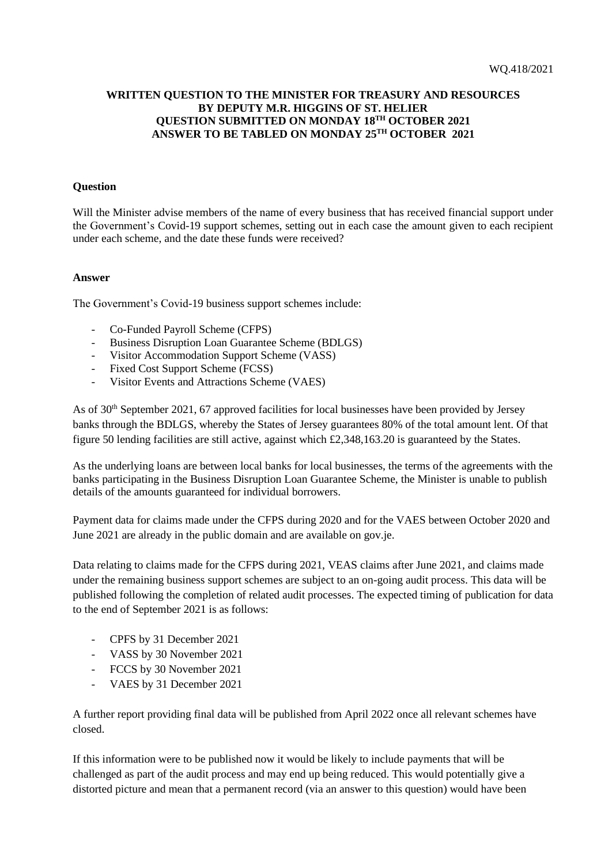## **WRITTEN QUESTION TO THE MINISTER FOR TREASURY AND RESOURCES BY DEPUTY M.R. HIGGINS OF ST. HELIER QUESTION SUBMITTED ON MONDAY 18TH OCTOBER 2021 ANSWER TO BE TABLED ON MONDAY 25TH OCTOBER 2021**

## **Question**

Will the Minister advise members of the name of every business that has received financial support under the Government's Covid-19 support schemes, setting out in each case the amount given to each recipient under each scheme, and the date these funds were received?

## **Answer**

The Government's Covid-19 business support schemes include:

- Co-Funded Payroll Scheme (CFPS)
- Business Disruption Loan Guarantee Scheme (BDLGS)
- Visitor Accommodation Support Scheme (VASS)
- Fixed Cost Support Scheme (FCSS)
- Visitor Events and Attractions Scheme (VAES)

As of 30<sup>th</sup> September 2021, 67 approved facilities for local businesses have been provided by Jersey banks through the BDLGS, whereby the States of Jersey guarantees 80% of the total amount lent. Of that figure 50 lending facilities are still active, against which £2,348,163.20 is guaranteed by the States.

As the underlying loans are between local banks for local businesses, the terms of the agreements with the banks participating in the Business Disruption Loan Guarantee Scheme, the Minister is unable to publish details of the amounts guaranteed for individual borrowers.

Payment data for claims made under the CFPS during 2020 and for the VAES between October 2020 and June 2021 are already in the public domain and are available on gov.je.

Data relating to claims made for the CFPS during 2021, VEAS claims after June 2021, and claims made under the remaining business support schemes are subject to an on-going audit process. This data will be published following the completion of related audit processes. The expected timing of publication for data to the end of September 2021 is as follows:

- CPFS by 31 December 2021
- VASS by 30 November 2021
- FCCS by 30 November 2021
- VAES by 31 December 2021

A further report providing final data will be published from April 2022 once all relevant schemes have closed.

If this information were to be published now it would be likely to include payments that will be challenged as part of the audit process and may end up being reduced. This would potentially give a distorted picture and mean that a permanent record (via an answer to this question) would have been